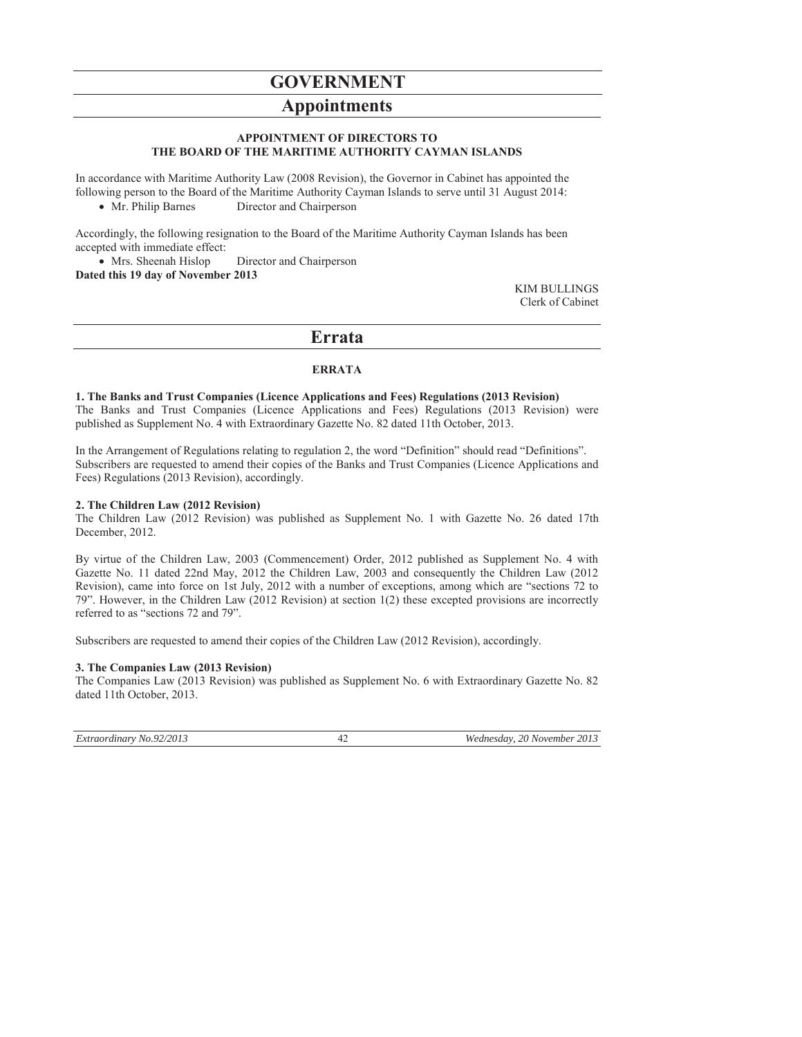# **GOVERNMENT**

## **Appointments**

### **APPOINTMENT OF DIRECTORS TO THE BOARD OF THE MARITIME AUTHORITY CAYMAN ISLANDS**

In accordance with Maritime Authority Law (2008 Revision), the Governor in Cabinet has appointed the following person to the Board of the Maritime Authority Cayman Islands to serve until 31 August 2014:

• Mr. Philip Barnes Director and Chairperson

Accordingly, the following resignation to the Board of the Maritime Authority Cayman Islands has been accepted with immediate effect:

• Mrs. Sheenah Hislop Director and Chairperson **Dated this 19 day of November 2013** 

> KIM BULLINGS Clerk of Cabinet

## **Errata**

## **ERRATA**

**1. The Banks and Trust Companies (Licence Applications and Fees) Regulations (2013 Revision)**  The Banks and Trust Companies (Licence Applications and Fees) Regulations (2013 Revision) were

published as Supplement No. 4 with Extraordinary Gazette No. 82 dated 11th October, 2013. In the Arrangement of Regulations relating to regulation 2, the word "Definition" should read "Definitions".

Subscribers are requested to amend their copies of the Banks and Trust Companies (Licence Applications and Fees) Regulations (2013 Revision), accordingly.

## **2. The Children Law (2012 Revision)**

The Children Law (2012 Revision) was published as Supplement No. 1 with Gazette No. 26 dated 17th December, 2012.

By virtue of the Children Law, 2003 (Commencement) Order, 2012 published as Supplement No. 4 with Gazette No. 11 dated 22nd May, 2012 the Children Law, 2003 and consequently the Children Law (2012 Revision), came into force on 1st July, 2012 with a number of exceptions, among which are "sections 72 to 79". However, in the Children Law (2012 Revision) at section 1(2) these excepted provisions are incorrectly referred to as "sections 72 and 79".

Subscribers are requested to amend their copies of the Children Law (2012 Revision), accordingly.

## **3. The Companies Law (2013 Revision)**

The Companies Law (2013 Revision) was published as Supplement No. 6 with Extraordinary Gazette No. 82 dated 11th October, 2013.

*Extraordinary No.92/2013* 42 *Wednesday, 20 November 2013*